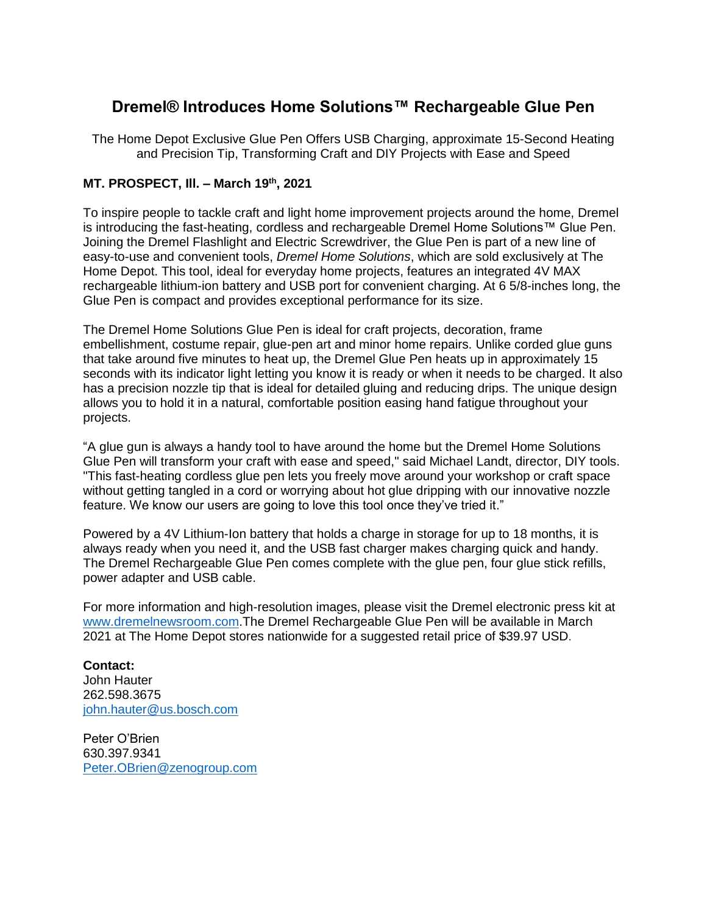## **Dremel® Introduces Home Solutions™ Rechargeable Glue Pen**

The Home Depot Exclusive Glue Pen Offers USB Charging, approximate 15-Second Heating and Precision Tip, Transforming Craft and DIY Projects with Ease and Speed

## **MT. PROSPECT, Ill. – March 19th, 2021**

To inspire people to tackle craft and light home improvement projects around the home, Dremel is introducing the fast-heating, cordless and rechargeable Dremel Home Solutions™ Glue Pen. Joining the Dremel Flashlight and Electric Screwdriver, the Glue Pen is part of a new line of easy-to-use and convenient tools, *Dremel Home Solutions*, which are sold exclusively at The Home Depot. This tool, ideal for everyday home projects, features an integrated 4V MAX rechargeable lithium-ion battery and USB port for convenient charging. At 6 5/8-inches long, the Glue Pen is compact and provides exceptional performance for its size.

The Dremel Home Solutions Glue Pen is ideal for craft projects, decoration, frame embellishment, costume repair, glue-pen art and minor home repairs. Unlike corded glue guns that take around five minutes to heat up, the Dremel Glue Pen heats up in approximately 15 seconds with its indicator light letting you know it is ready or when it needs to be charged. It also has a precision nozzle tip that is ideal for detailed gluing and reducing drips. The unique design allows you to hold it in a natural, comfortable position easing hand fatigue throughout your projects.

"A glue gun is always a handy tool to have around the home but the Dremel Home Solutions Glue Pen will transform your craft with ease and speed," said Michael Landt, director, DIY tools. "This fast-heating cordless glue pen lets you freely move around your workshop or craft space without getting tangled in a cord or worrying about hot glue dripping with our innovative nozzle feature. We know our users are going to love this tool once they've tried it."

Powered by a 4V Lithium-Ion battery that holds a charge in storage for up to 18 months, it is always ready when you need it, and the USB fast charger makes charging quick and handy. The Dremel Rechargeable Glue Pen comes complete with the glue pen, four glue stick refills, power adapter and USB cable.

For more information and high-resolution images, please visit the Dremel electronic press kit at [www.dremelnewsroom.com.](http://www.dremelnewsroom.com/)The Dremel Rechargeable Glue Pen will be available in March 2021 at The Home Depot stores nationwide for a suggested retail price of \$39.97 USD.

## **Contact:**

John Hauter 262.598.3675 [john.hauter@us.bosch.com](mailto:john.hauter@us.bosch.com)

Peter O'Brien 630.397.9341 [Peter.OBrien@zenogroup.com](mailto:Peter.OBrien@zenogroup.com)